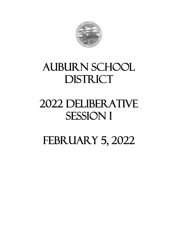

### AUBURN SCHOOL DISTRICT

### 2022 DELIBERATIVE SESSION I

### **FEBRUARY 5, 2022**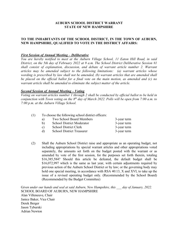### **AUBURN SCHOOL DISTRICT WARRANT STATE OF NEW HAMPSHIRE**

### **TO THE INHABITANTS OF THE SCHOOL DISTRICT, IN THE TOWN OF AUBURN, NEW HAMPSHIRE, QUALIFIED TO VOTE IN THE DISTRICT AFFAIRS:**

### *First Session of Annual Meeting – Deliberative*

*You are hereby notified to meet at the Auburn Village School, 11 Eaton Hill Road, in said District, on the 5th day of February 2022 at 9 a.m. The School District Deliberative Session #1 shall consist of explanation, discussion, and debate of warrant article number 2. Warrant articles may be amended subject to the following limitations: (a) warrant articles whose wording is prescribed by law shall not be amended, (b) warrant articles that are amended shall be placed on the official ballot for a final vote on the main motion, as amended and (c) no warrant article shall be amended to eliminate the subject matter of the article.*

### *Second Session of Annual Meeting – Voting*

*Voting on warrant articles number 1 through 2 shall be conducted by official ballot to be held in conjunction with Town voting on the 8th day of March 2022. Polls will be open from 7:00 a.m. to 7:00 p.m. at the Auburn Village School.*

| (1) | To choose the following school district officers: |
|-----|---------------------------------------------------|
|-----|---------------------------------------------------|

| a) | Two School Board Members         | 3-year term |
|----|----------------------------------|-------------|
| b) | <b>School District Moderator</b> | 3-year term |
| c) | <b>School District Clerk</b>     | 3-year term |
| d) | <b>School District Treasurer</b> | 3-year term |

(2) Shall the Auburn School District raise and appropriate as an operating budget, not including appropriations by special warrant articles and other appropriations voted separately, the amounts set forth on the budget posted with the warrant or as amended by vote of the first session, for the purposes set forth therein, totaling \$16,385,584? Should this article be defeated, the default budget shall be \$16,072,997 which is the same as last year, with certain adjustments required by previous action of the Auburn School District or by law; or the governing body may hold one special meeting, in accordance with RSA 40:13, X and XVI, to take up the issue of a revised operating budget only. (Recommended by the School Board) (Recommended by the Budget Committee)

Given under our hands and seal at said Auburn, New Hampshire, this alay of January, 2022. SCHOOL BOARD OF AUBURN, NEW HAMPSHIRE Alan Villeneuve, Chair Janice Baker, Vice Chair Derek Berger Jason Tyburski Adrian Newton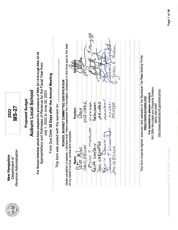**MS-27** 2022

# **Proposed Budget**

# **Auburn Local School**

For School Districts which have adopted the provisions of RSA 32:14 through RSA 32:24 Appropriations and Estimates of Revenue for the Fiscal Year from: July 1, 2022 to June 30, 2023

# Form Due Date: 20 Days after the Annual Meeting

This form was posted with the warrant on:

# SCHOOL BUDGET COMMITTEE CERTIFICATION

Under penalties of perjury, I declare that I have examined the information contained in this form and to the best  $\hat{\mathbf{z}}$ of my belief it is true, correct and complete.

|                                                                    | Position           |         |
|--------------------------------------------------------------------|--------------------|---------|
| $Q_{\ell}$ Mame<br>$Q_{\ell}$ m Miles                              |                    |         |
|                                                                    | Chair<br>WCE-CHAIR |         |
|                                                                    | MEMBER             | Mary W  |
|                                                                    | Selectmen          |         |
|                                                                    | $M \leq m$ bzR     |         |
| PAULA T MARZLOPF<br>DAN CARDESTER<br>Kevin Downing<br>Janice BAKER | Neuber             |         |
|                                                                    | member             |         |
|                                                                    | MEMBER             | nnice 1 |
|                                                                    |                    |         |

NH DRA Municipal and Property Division http://www.revenue.nh.gov/mun-prop/  $(603)$  230-5090

For assistance please contact:

https://www.proptax.org/ ່ກ

30/200 Alibum Local School 2022 MS-27 12/20/2021 9:31:16 AM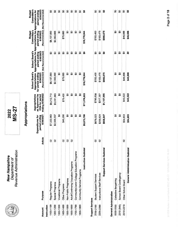2022<br>MS-27

### **Appropriations**

| Account                 | Purpose                                     | <b>Article</b> | 6/30/2021<br>Expenditures for<br>period ending | ending 6/30/2022<br>Appropriations<br>as Approved by<br>DRA for period | <b>School Board's</b><br>for period ending<br>6/30/2023 | Appropriations Appropriations for Appropriations for Appropriations for<br><b>School Board's</b><br>(Recommended) (Not Recommended)<br>6/30/2023<br>period ending | Committee's<br>period ending<br><b>Budget</b><br>6/30/2023 | Committee's<br>6/30/2023<br>(Recommended) (Not Recommended)<br>Budget<br>period ending |
|-------------------------|---------------------------------------------|----------------|------------------------------------------------|------------------------------------------------------------------------|---------------------------------------------------------|-------------------------------------------------------------------------------------------------------------------------------------------------------------------|------------------------------------------------------------|----------------------------------------------------------------------------------------|
| Instruction             |                                             |                |                                                |                                                                        |                                                         |                                                                                                                                                                   |                                                            |                                                                                        |
| 1100-1199               | Regular Programs                            | 8              | \$7,322,963                                    | \$8,212,710                                                            | \$8,137,593                                             | ဒ္ဓ                                                                                                                                                               | \$8,137,593                                                |                                                                                        |
| 1200-1299               | Special Programs                            | g              | \$2,505,537                                    | \$3,031,663                                                            | \$2,563,666                                             | ္တ                                                                                                                                                                | \$2,563,666                                                |                                                                                        |
| 1300-1399               | <b>Vocational Programs</b>                  |                | န္တ                                            | SO                                                                     | ႙ၞ                                                      | င္တ                                                                                                                                                               | ន្ល                                                        |                                                                                        |
| 1400-1499               | Other Programs                              | 8              | \$45,290                                       | \$75,430                                                               | \$75,685                                                | ິສ                                                                                                                                                                | \$75,685                                                   |                                                                                        |
| 1500-1599               | Non-Public Programs                         | ၛၟ             | ន្ល                                            | ႙                                                                      | ន្ល                                                     | SO                                                                                                                                                                | င္တ                                                        | ន្ល                                                                                    |
| 1600-1699               | Adult/Continuing Education Programs         | 8              | ន្ធ                                            | ន្ល                                                                    | န္တ                                                     | န္တ                                                                                                                                                               | ິ                                                          | ន្ល                                                                                    |
| 1700-1799               | Community/Junior College Education Programs |                | ន្ធ                                            | ິ                                                                      | ິ                                                       | ဒ္တ                                                                                                                                                               | ິ                                                          |                                                                                        |
| 1800-1899               | Community Service Programs                  |                | င္တ                                            | ន្ធ                                                                    | န္တ                                                     | ន្ល                                                                                                                                                               | SO                                                         | ន្ល                                                                                    |
|                         | <b>Instruction Subtotal</b>                 |                | \$9,873,790                                    | \$11,319,803                                                           | \$10,776,944                                            | ຸຂ                                                                                                                                                                | \$10,776,944                                               | ິສ                                                                                     |
| <b>Support Services</b> |                                             |                |                                                |                                                                        |                                                         |                                                                                                                                                                   |                                                            |                                                                                        |
| $\frac{1}{2}$           |                                             |                |                                                |                                                                        |                                                         |                                                                                                                                                                   | $\frac{1}{4}$                                              | $\frac{1}{6}$                                                                          |

|                               | 2000-2199 Student Support Services     | ន |                                     |                                       |                                            |                                            |       |
|-------------------------------|----------------------------------------|---|-------------------------------------|---------------------------------------|--------------------------------------------|--------------------------------------------|-------|
|                               | 2200-2299 Instructional Staff Services | ၛ | \$679,023<br>\$259,824<br>\$938,847 | \$790,638<br>\$317,357<br>\$1,107,995 | \$783,400<br>\$183,475<br><b>\$966,875</b> | \$783,400<br>\$183,475<br><b>\$966,875</b> | ន ន ន |
|                               | <b>Support Services Subtotal</b>       |   |                                     |                                       |                                            |                                            |       |
| <b>General Administration</b> |                                        |   |                                     |                                       |                                            |                                            |       |
|                               | 0000-0000 Collective Bargaining        |   |                                     |                                       |                                            |                                            | င္တ   |

នន្ត្

\$46,886 \$46,886

 $\begin{array}{c|c|c|c|c} \mathbf{G} & \mathbf{G} & \mathbf{G} \end{array}$ 

\$0

\$0 \$43,522 \$43,522

\$0 \$54,653 \$54,653

 $\mathbf{S}$ 

General Administration Subtotal

School Board Contingency Other School Board

2310 (840) 2310-2319

\$46,886 \$46,886

 $\boldsymbol{\mathsf{S}}$ 

301200 Auburn Local School 2022 (45-27 12/20/2021 9, 21:16 AM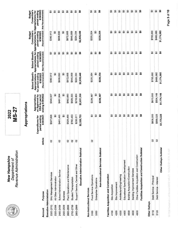2022<br>MS-27

## Appropriations

| Account       | Purpose                                          | <b>Article</b> | 6/30/2021<br>period ending<br><b>Expenditures for</b> | ending 6/30/2022<br>as Approved by<br>Appropriations<br>DRA for period | <b>School Board's</b><br>6/30/2023<br>for period ending | Appropriations Appropriations for Appropriations for Appropriations for<br><b>School Board's</b><br>period ending<br>6/30/2023<br>(Recommended) (Not Recommended) | Committee's<br>period ending<br>6/30/2023<br><b>Budget</b> | Committee's<br>6/30/2023<br>(Recommended) (Not Recommended)<br><b>Budget</b><br>period ending |
|---------------|--------------------------------------------------|----------------|-------------------------------------------------------|------------------------------------------------------------------------|---------------------------------------------------------|-------------------------------------------------------------------------------------------------------------------------------------------------------------------|------------------------------------------------------------|-----------------------------------------------------------------------------------------------|
|               | Executive Administration                         |                |                                                       |                                                                        |                                                         |                                                                                                                                                                   |                                                            |                                                                                               |
| 2320 (310)    | SAU Management Services                          | S,             | \$327,826                                             | \$348,507                                                              | \$382,812                                               | ន្ល                                                                                                                                                               | \$382,812                                                  | င္တ                                                                                           |
| 2320-2399     | All Other Administration                         |                | S                                                     | S                                                                      | S                                                       | S                                                                                                                                                                 | န္တ                                                        | \$0                                                                                           |
| 2400-2499     | School Administration Service                    | g              | \$461,495                                             | \$491,994                                                              | \$609,830                                               | \$Q                                                                                                                                                               | \$609,830                                                  | င္တ                                                                                           |
| 2500-2599     | <b>Business</b>                                  |                | S                                                     | ຘ                                                                      | ຘ                                                       | င္တ                                                                                                                                                               | œ                                                          | န္တ                                                                                           |
| 2600-2699     | Plant Operations and Maintenance                 | 20             | \$528,468                                             | \$662,690                                                              | \$872,605                                               | \$                                                                                                                                                                | \$872,605                                                  | ន្ល                                                                                           |
| 2700-2799     | Student Transportation                           | $\mathcal{S}$  | \$780,453                                             | \$929,335                                                              | \$845,859                                               | \$O                                                                                                                                                               | \$845,859                                                  | ន្ល                                                                                           |
| 2800-2999     | Support Service, Central and Other               | $\mathbf{S}$   | \$230,511                                             | \$218,804                                                              | \$224,334                                               | ິ                                                                                                                                                                 | \$224,334                                                  | ္တ                                                                                            |
|               | Executive Administration Subtotal                |                | \$2,328,753                                           | \$2,651,330                                                            | \$2,935,440                                             | ິສ                                                                                                                                                                | \$2,935,440                                                | ິສ                                                                                            |
|               | Non-Instructional Services                       |                |                                                       |                                                                        |                                                         |                                                                                                                                                                   |                                                            |                                                                                               |
| 3100          | Food Service Operations                          | 02             | ຊ                                                     | \$226,367                                                              | \$220,354                                               | န္တ                                                                                                                                                               | \$220,354                                                  | ္တ                                                                                            |
| 3200          | Enterprise Operations                            |                | S                                                     | S                                                                      | င္တ                                                     | S                                                                                                                                                                 | S                                                          | န္တ                                                                                           |
|               | Non-Instructional Services Subtotal              |                | င္တ                                                   | \$226,367                                                              | \$220,354                                               | ິ                                                                                                                                                                 | \$220,354                                                  | ຸິ                                                                                            |
|               | Facilities Acquisition and Construction          |                |                                                       |                                                                        |                                                         |                                                                                                                                                                   |                                                            |                                                                                               |
| 4100          | Site Acquisition                                 |                | ន្ធ                                                   | ္တ                                                                     | င္တ                                                     | င္တ                                                                                                                                                               | ຊ                                                          | ິ                                                                                             |
| 4200          | Site Improvement                                 |                | င္တ                                                   | င္တ                                                                    | င္တ                                                     | ន្ធ                                                                                                                                                               | ဒ္တ                                                        | ິ                                                                                             |
| 4300          | Architectural/Engineering                        |                | S                                                     | S                                                                      | \$O                                                     | င္တ                                                                                                                                                               | င္တ                                                        | \$Q                                                                                           |
| 4400          | Educational Specification Development            |                | S                                                     | န္တ                                                                    | \$O                                                     | \$O                                                                                                                                                               | 9                                                          | ន្ធ                                                                                           |
| 4500          | <b>Building Acquisition/Construction</b>         |                | S                                                     | S                                                                      | æ                                                       | ន្ល                                                                                                                                                               | S                                                          | ន្ធ                                                                                           |
| 4600          | <b>Building Improvement Services</b>             |                | ဒ္တ                                                   | æ                                                                      | \$O                                                     | ន្ល                                                                                                                                                               | \$O                                                        | \$O                                                                                           |
| 4900          | Other Facilities Acquisition and Construction    |                | ន្ល                                                   | S                                                                      | \$0                                                     | ဝ္တ                                                                                                                                                               | \$O                                                        | SO                                                                                            |
|               | Facilities Acquisition and Construction Subtotal |                | ္တ                                                    | ິສ                                                                     | ິຈິ                                                     | <u>ន្</u>                                                                                                                                                         | ິ                                                          | ິ                                                                                             |
| Other Outlays |                                                  |                |                                                       |                                                                        |                                                         |                                                                                                                                                                   |                                                            |                                                                                               |
| 5110          | Debt Service - Principal                         | S              | \$606,000                                             | \$670,000                                                              | \$705,000                                               | ဒ္တ                                                                                                                                                               | \$705,000                                                  | ິ                                                                                             |
| 5120          | Debt Service - Interest                          | 8              | \$569,325                                             | \$504,146                                                              | \$469,085                                               | င္တ                                                                                                                                                               | \$469,085                                                  | ္တ                                                                                            |
|               | Other Outlays Subtotal                           |                | \$1,175,325                                           | \$1,174,146                                                            | \$1,174,085                                             | ິ                                                                                                                                                                 | \$1,174,085                                                | ິິ                                                                                            |

981200 Automicochi School 2022 NS-27, 12/20/2021 9/31, 16 AM

Page 3 of 10

\$1,174,146

\$1,175,325

Other Outlays Subtotal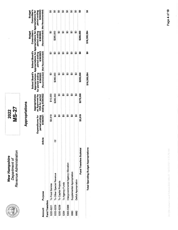2022<br>MS-27

ò.

## Appropriations

| <b>Account</b>        | Purpose                                      | Article | period ending<br>6/30/2021<br>Expenditures for | ending 6/30/2022<br>Appropriations<br>as Approved by<br>DRA for period | <b>School Board's</b><br>for period ending<br>6/30/2023 | Appropriations Appropriations for Appropriations for Appropriations for<br><b>School Board's</b><br>(Recommended) (Not Recommended)<br>6/30/2023<br>period ending | Committee's<br><b>Budget</b><br>period ending<br>6/30/2023 | Committee's<br>6/30/2023<br>(Recommended) (Not Recommended)<br>Budget<br>period ending |
|-----------------------|----------------------------------------------|---------|------------------------------------------------|------------------------------------------------------------------------|---------------------------------------------------------|-------------------------------------------------------------------------------------------------------------------------------------------------------------------|------------------------------------------------------------|----------------------------------------------------------------------------------------|
| <b>Fund Transfers</b> |                                              |         |                                                |                                                                        |                                                         |                                                                                                                                                                   |                                                            |                                                                                        |
|                       | 5220-5221 To Food Service                    |         | \$3,819                                        | \$10,000                                                               | ဝ္တ                                                     | င္တ                                                                                                                                                               | ຊ                                                          | ິ                                                                                      |
| 5222-5229             | To Other Special Revenue                     | S       | ္တ                                             | \$265,000                                                              | \$265,000                                               |                                                                                                                                                                   | \$265,000                                                  |                                                                                        |
| 5230-5239             | To Capital Projects                          |         | ິ                                              | င္တ                                                                    | ន្ល                                                     | ິສ                                                                                                                                                                | ິສ                                                         | ິ                                                                                      |
| 5254                  | To Agency Funds                              |         | ຘ                                              | ຊ                                                                      | ຊ                                                       | ္တ                                                                                                                                                                | ິສ                                                         | ິ                                                                                      |
| 5300-5399             | Intergovernmental Agency Allocation          |         | ິສ                                             | ន្ល                                                                    | ຊ                                                       | ន្ល                                                                                                                                                               | ິ                                                          | ິ                                                                                      |
| 9990                  | Supplemental Appropriation                   |         | ຊ                                              | ິ                                                                      | ន្ល                                                     |                                                                                                                                                                   | ຊ                                                          | ິ                                                                                      |
| 9992                  | Deficit Appropriation                        |         | ႙                                              | ຊ                                                                      | ິສ                                                      | ິສ                                                                                                                                                                | ິ                                                          | ິ                                                                                      |
|                       | Fund Transfers Subtotal                      |         | \$3,819                                        | \$275,000                                                              | \$265,000                                               | ິສ                                                                                                                                                                | \$265,000                                                  |                                                                                        |
|                       | <b>Total Operating Budget Appropriations</b> |         |                                                |                                                                        | \$16,385,584                                            | ႙                                                                                                                                                                 | \$16,385,584                                               | S                                                                                      |

s

301200 Auburn Local School 2022 MS-27 12/20/2021 9:31-16 AM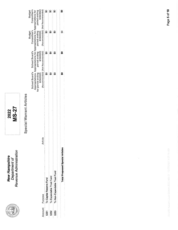

2022<br>MS-27

# **Special Warrant Articles**

| ຊ                                                                                                                                                                                                                                                                                                                                           |                                                                        |                                                                                                                                                                                                                    | <b>Total Proposed Special Articles</b> | To Non-Expendable Trust Fund<br>To Expendable Trust Fund<br>To Capital Reserve Fund |
|---------------------------------------------------------------------------------------------------------------------------------------------------------------------------------------------------------------------------------------------------------------------------------------------------------------------------------------------|------------------------------------------------------------------------|--------------------------------------------------------------------------------------------------------------------------------------------------------------------------------------------------------------------|----------------------------------------|-------------------------------------------------------------------------------------|
|                                                                                                                                                                                                                                                                                                                                             |                                                                        |                                                                                                                                                                                                                    |                                        |                                                                                     |
|                                                                                                                                                                                                                                                                                                                                             |                                                                        |                                                                                                                                                                                                                    |                                        |                                                                                     |
| Committee's<br>6/30/2023<br>(Recommended) (Not Recommended)<br>Appropriations Appropriations for Appropriations for Appropriations for<br>and a subject and come of the second<br><b>Budget</b><br>period ending<br>ふくちょう アイ・スピー アーファン アープ・ディスク アイ・ディー コーヒット アープ・アープ スピー・エンジー<br>Committee's<br>period ending<br>6/30/2023<br><b>Budget</b> | 6/30/2023<br>the first backman of the matter work and<br>period ending | School Board's School Board's<br>(Recommended) (Not Recommended)<br>Walter and the company of the company of the company of the company of the company of the company of<br>for period ending<br>6/30/2023<br>$-2$ | Q<br>Artici                            |                                                                                     |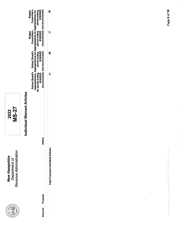

2022<br>MS-27

# Individual Warrant Articles

|                                                                                                                                                                                                                                                                                           |                                                                  | Total Proposed Individual Articles |                 |
|-------------------------------------------------------------------------------------------------------------------------------------------------------------------------------------------------------------------------------------------------------------------------------------------|------------------------------------------------------------------|------------------------------------|-----------------|
| Committee's<br>(Recommended) (Not Recommended)<br><b>Budget</b><br>Appropriations Appropriations for Appropriations for Appropriations for<br>for period ending   period ending   period ending   period ending<br>6/30/2023   6/30/2023   6/30/2023   6/30/2023<br>Committee's<br>Budget | 'Recommended) (Not Recommended)<br>School Board's School Board's | <u>ω</u>                           | Account Purpose |

 $\tilde{\boldsymbol{\theta}}$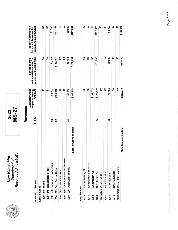2022<br>MS-27

### Revenues

| Source<br><b>Account</b>               | <b>Article</b>         | <b>Revised Revenues</b><br>6/30/2022<br>for period ending | period ending 6/30/2023<br><b>Estimated Revenues for</b><br><b>School Board's</b> | <b>Budget Committee's</b><br>period ending 6/30/2023<br>Estimated Revenues for |
|----------------------------------------|------------------------|-----------------------------------------------------------|-----------------------------------------------------------------------------------|--------------------------------------------------------------------------------|
| Local Sources                          |                        |                                                           |                                                                                   |                                                                                |
| 1300-1349 Tuition                      |                        | ន្ល                                                       | ន្ល                                                                               | ဒ္တ                                                                            |
| 1400-1449 Transportation Fees          |                        | င္တ                                                       | ຊູ                                                                                | ဝ္တ                                                                            |
| 1500-1599 Earnings on Investments      | g                      | \$2,500                                                   | \$2,500                                                                           | \$2,500                                                                        |
| 600-1699 Food Service Sales            | ន                      | \$162,915                                                 | \$163,154                                                                         | \$163,154                                                                      |
| 1700-1799 Student Activities           |                        | ႙ၟ                                                        | ន្ល                                                                               | န္တ                                                                            |
| 1800-1899 Community Service Activities |                        | န္တ                                                       | င္တ                                                                               | ន្ល                                                                            |
| 1900-1999 Other Local Sources          | ន                      | \$2,000                                                   | \$2,000                                                                           | \$2,000                                                                        |
|                                        | Local Sources Subtotal | \$167,415                                                 | \$167,654                                                                         | \$167,654                                                                      |

| <b>State Sources</b> |                               |                        |                           |                      |                          |
|----------------------|-------------------------------|------------------------|---------------------------|----------------------|--------------------------|
| 3210                 | School Building Aid           |                        | ႙ၞ                        | င္တ                  |                          |
| 3215                 | Kindergarten Building Aid     |                        | $\boldsymbol{\mathsf{s}}$ | $\mathfrak{S}$       |                          |
| 3220                 | Kindergarten Aid              |                        |                           | $\pmb{\mathfrak{g}}$ |                          |
| 3230                 | Catastrophic Aid              | 8                      | \$132,533<br>\$152,500    | \$152,500            |                          |
|                      | 3240-3249 Vocational Aid      |                        | $\frac{30}{2}$            |                      |                          |
| 3250                 | Adult Education               |                        | \$0                       | 60                   |                          |
| 3260                 | <b>Child Nutrition</b>        | 8                      | \$2,900                   | \$2,900              |                          |
| 3270                 | Driver Education              |                        | $\frac{3}{2}$             | $\frac{6}{3}$        | $$2,900$<br>$$0$<br>$$0$ |
|                      | 3290-3299 Other State Sources |                        | $\boldsymbol{\mathsf{s}}$ | $\frac{6}{3}$        |                          |
|                      |                               | State Sources Subtotal | \$287,933                 | \$155,400            | 155,400                  |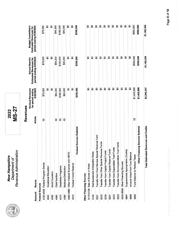2022<br>MS-27

### Revenues

| Account         | <b>Source</b>                              | <b>Article</b> | Revised Revenues<br>for period ending<br>6/30/2022 | period ending 6/30/2023<br><b>Estimated Revenues for</b><br><b>School Board's</b> | <b>Budget Committee's</b><br>period ending 6/30/2023<br><b>Estimated Revenues for</b> |
|-----------------|--------------------------------------------|----------------|----------------------------------------------------|-----------------------------------------------------------------------------------|---------------------------------------------------------------------------------------|
| Federal Sources |                                            |                |                                                    |                                                                                   |                                                                                       |
|                 | 4100-4539 Federal Program Grants           | ၛ              | \$75,000                                           | \$75,000                                                                          | \$75,000                                                                              |
| 4540            | <b>Vocational Education</b>                |                | ន្ល                                                | င္တ                                                                               | ន្ល                                                                                   |
| 4550            | <b>Adult Education</b>                     |                | ន្ល                                                | ន្ធ                                                                               |                                                                                       |
| 4560            | <b>Child Nutrition</b>                     | 8              | \$54,300                                           | \$54,300                                                                          | \$54,300                                                                              |
| 4570            | Disabilities Programs                      | 8              | \$190,000                                          | \$190,000                                                                         | \$190,000                                                                             |
| 4580            | <b>Medicaid Distribution</b>               | 8              | \$20,000                                           | \$20,000                                                                          | \$20,000                                                                              |
|                 | 4590-4999 Other Federal Sources (non-4810) |                | ន្ល                                                | ႙ၟ                                                                                | ິ                                                                                     |
| 4810            | Federal Forest Reserve                     |                | ន្ល                                                | ន្ល                                                                               | ຊ                                                                                     |
|                 | Federal Sources Subtotal                   |                | \$339,300                                          | \$339,300                                                                         | 5339,300                                                                              |

| \$1,162,354 | \$1,162,354 | \$2,200,247 |   | <b>Total Estimated Revenues and Credits</b>     |      |
|-------------|-------------|-------------|---|-------------------------------------------------|------|
| \$500,000   | \$500,000   | \$1,405,599 |   | Other Financing Sources Subtotal                |      |
| \$500,000   | \$500,000   | \$1,405,599 | 8 | Fund Balance to Reduce Taxes                    | 9999 |
| ု့          |             | ဝ္တ         |   | Amount Voted from Fund Balance                  | 9998 |
| န္တ         |             | အ           |   | Supplemental Appropriation (Contra)             | 9997 |
| \$          |             | ု့          |   | 5300-5699 Other Financing Sources               |      |
|             |             | ္တ          |   | Trust Funds<br>Transfer from Non-Expendable     | 5253 |
| ုင္တာ ဥ     |             |             |   | Funds<br>Transfer from Expendable Trust         | 5252 |
| န္တ         |             | ន្ត្រ       |   | Transfer from Capital Reserve Funds             | 5251 |
| အ           | ႙           | S           |   | Transfer from Capital Project Funds             | 5230 |
| ន្ល         | ႙           | န္တ         |   | Transfer from Other Special Revenue Funds       | 5222 |
| ဒ္တ         | ္တ          | ႙ၟ          |   | Transfer from Food Service Special Revenue Fund | 5221 |
| ន្ល         | ຘ           | ဒ္တ         |   | Reimbursement Anticipation Notes                | 5140 |
| ន្ធ         | ္တ          | န္တ         |   | 5110-5139 Sale of Bonds or Notes                |      |
|             |             |             |   | Other Financing Sources                         |      |

\$1,162,354

\$2,200,247

**Total Estimated Revenues and Credits**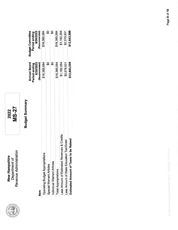

2022<br>MS-27

# Budget Summary

 $\mathcal{R}$ 

| <b>Item</b>                                   | <b>School Board</b><br>(Recommended)<br>6/30/2023<br>Period ending | (Recommended)<br><b>Budget Committee</b><br>6/30/2023<br>Period ending |
|-----------------------------------------------|--------------------------------------------------------------------|------------------------------------------------------------------------|
| <b>Operating Budget Appropriations</b>        | \$16,385,584                                                       | \$16,385,584                                                           |
| Special Warrant Articles                      | ន្ល                                                                | င္တ                                                                    |
| Individual Warrant Articles                   |                                                                    | င္တ                                                                    |
| <b>Total Appropriations</b>                   | \$16,385,584                                                       | \$16,385,584                                                           |
| Revenues & Credits<br>ess Amount of Estimated | \$1,162,354                                                        | \$1,162,354                                                            |
| ess Amount of State Education Tax/Grant       | \$2,579,631                                                        | \$2,579,631                                                            |
| Estimated Amount of Taxes to be Raised        | \$12,643,599                                                       | \$12,643,599                                                           |

 $\tilde{\alpha}$ 

1918 August Lacel Screen 2017 MS-21 12:00/9121 9:01:16 MJ

ű